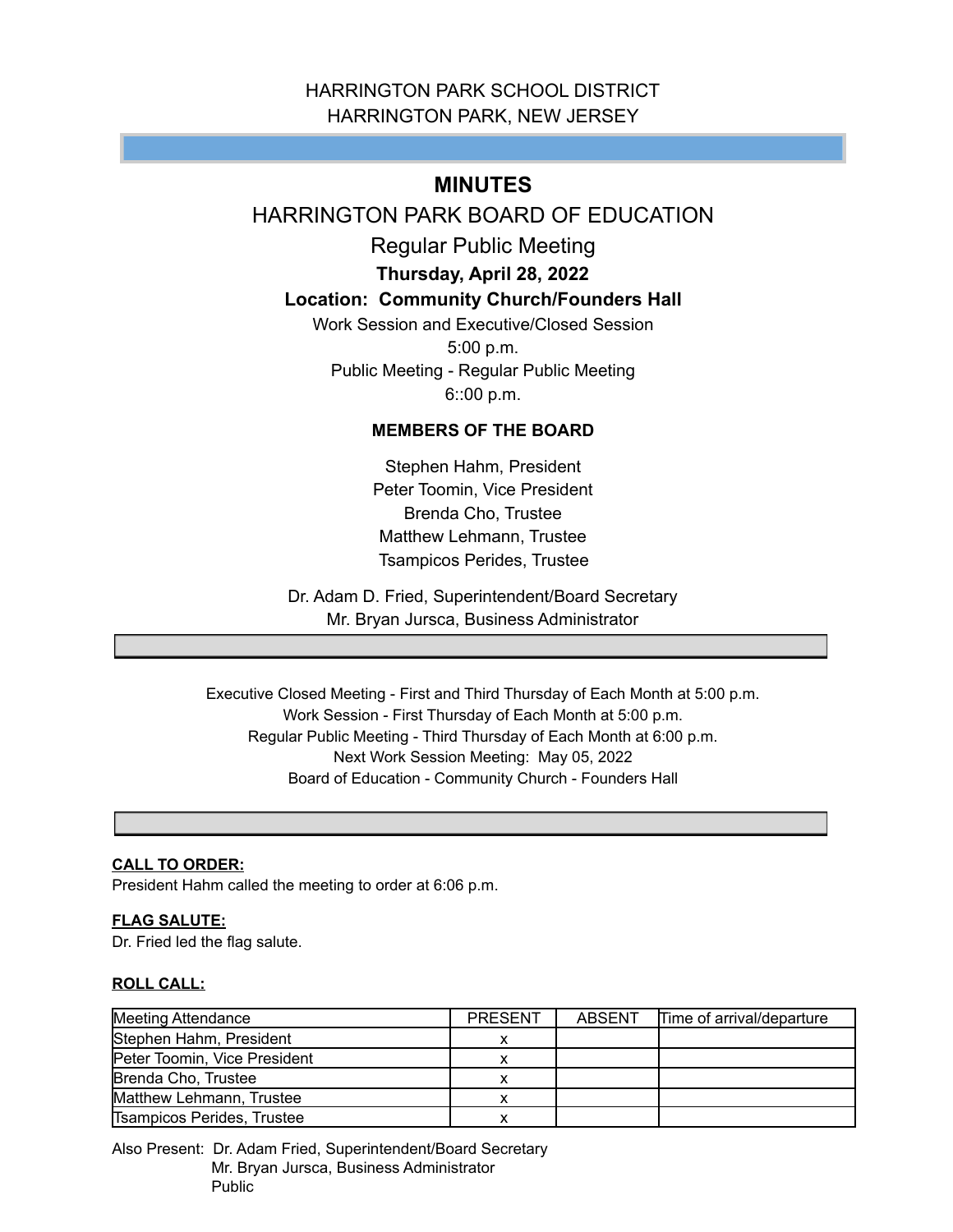# HARRINGTON PARK SCHOOL DISTRICT HARRINGTON PARK, NEW JERSEY

# **MINUTES**

# HARRINGTON PARK BOARD OF EDUCATION

Regular Public Meeting

**Thursday, April 28, 2022**

## **Location: Community Church/Founders Hall**

Work Session and Executive/Closed Session 5:00 p.m. Public Meeting - Regular Public Meeting 6::00 p.m.

## **MEMBERS OF THE BOARD**

Stephen Hahm, President Peter Toomin, Vice President Brenda Cho, Trustee Matthew Lehmann, Trustee Tsampicos Perides, Trustee

Dr. Adam D. Fried, Superintendent/Board Secretary Mr. Bryan Jursca, Business Administrator

Executive Closed Meeting - First and Third Thursday of Each Month at 5:00 p.m. Work Session - First Thursday of Each Month at 5:00 p.m. Regular Public Meeting - Third Thursday of Each Month at 6:00 p.m. Next Work Session Meeting: May 05, 2022 Board of Education - Community Church - Founders Hall

### **CALL TO ORDER:**

President Hahm called the meeting to order at 6:06 p.m.

#### **FLAG SALUTE:**

Dr. Fried led the flag salute.

#### **ROLL CALL:**

| Meeting Attendance           | <b>PRESENT</b> | ABSENT | Time of arrival/departure |
|------------------------------|----------------|--------|---------------------------|
| Stephen Hahm, President      |                |        |                           |
| Peter Toomin, Vice President |                |        |                           |
| Brenda Cho, Trustee          |                |        |                           |
| Matthew Lehmann, Trustee     |                |        |                           |
| Tsampicos Perides, Trustee   |                |        |                           |

Also Present: Dr. Adam Fried, Superintendent/Board Secretary Mr. Bryan Jursca, Business Administrator Public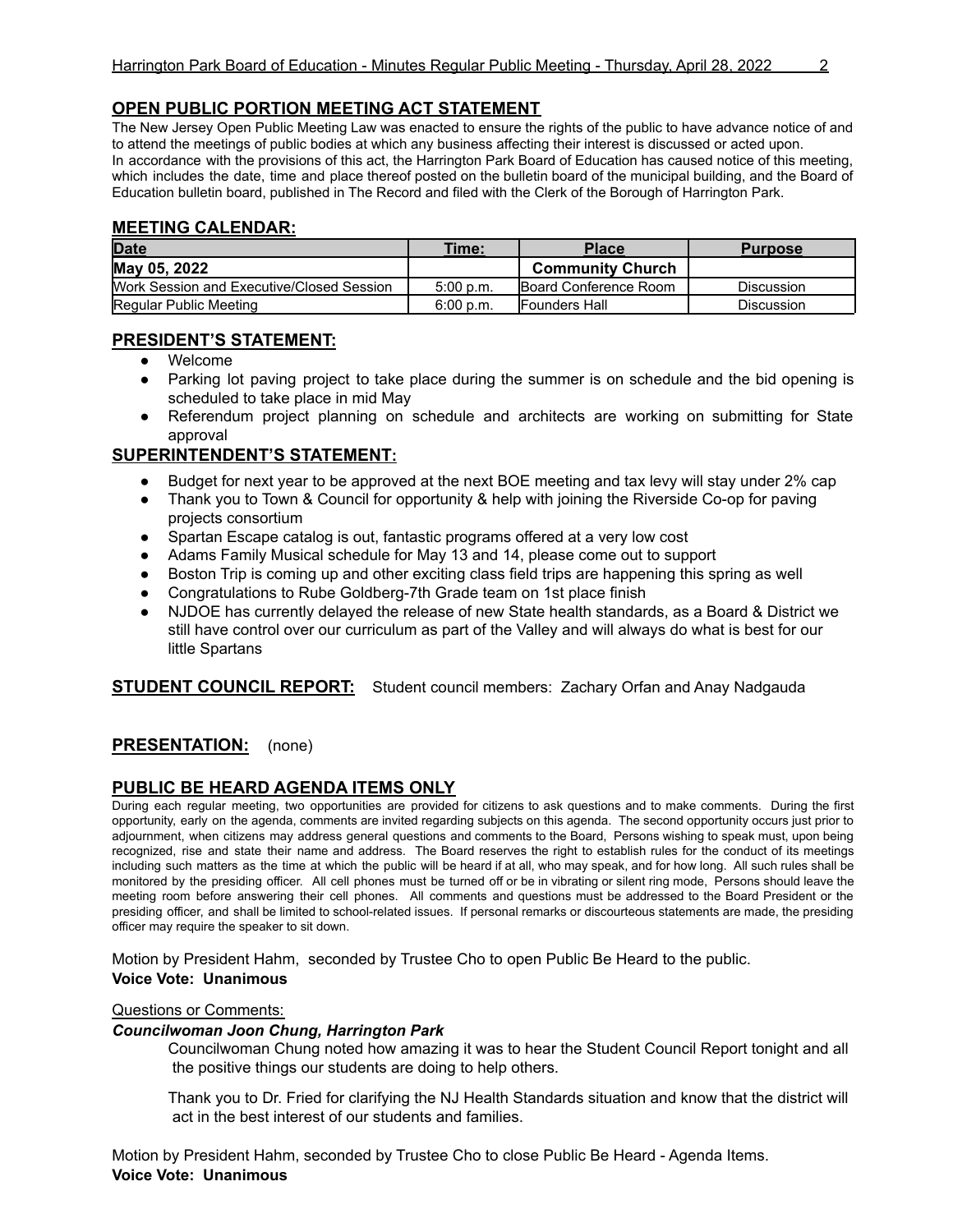### **OPEN PUBLIC PORTION MEETING ACT STATEMENT**

The New Jersey Open Public Meeting Law was enacted to ensure the rights of the public to have advance notice of and to attend the meetings of public bodies at which any business affecting their interest is discussed or acted upon. In accordance with the provisions of this act, the Harrington Park Board of Education has caused notice of this meeting, which includes the date, time and place thereof posted on the bulletin board of the municipal building, and the Board of Education bulletin board, published in The Record and filed with the Clerk of the Borough of Harrington Park.

#### **MEETING CALENDAR:**

| <b>Date</b>                               | Time:     | Place                        | <b>Purpose</b>    |
|-------------------------------------------|-----------|------------------------------|-------------------|
| May 05, 2022                              |           | <b>Community Church</b>      |                   |
| Work Session and Executive/Closed Session | 5:00 p.m. | <b>Board Conference Room</b> | <b>Discussion</b> |
| Regular Public Meeting                    | 6:00 p.m. | <b>IFounders Hall</b>        | <b>Discussion</b> |

### **PRESIDENT'S STATEMENT:**

- Welcome
- Parking lot paving project to take place during the summer is on schedule and the bid opening is scheduled to take place in mid May
- Referendum project planning on schedule and architects are working on submitting for State approval

#### **SUPERINTENDENT'S STATEMENT:**

- Budget for next year to be approved at the next BOE meeting and tax levy will stay under 2% cap
- Thank you to Town & Council for opportunity & help with joining the Riverside Co-op for paving projects consortium
- Spartan Escape catalog is out, fantastic programs offered at a very low cost
- Adams Family Musical schedule for May 13 and 14, please come out to support
- Boston Trip is coming up and other exciting class field trips are happening this spring as well
- Congratulations to Rube Goldberg-7th Grade team on 1st place finish
- NJDOE has currently delayed the release of new State health standards, as a Board & District we still have control over our curriculum as part of the Valley and will always do what is best for our little Spartans

**STUDENT COUNCIL REPORT:** Student council members: Zachary Orfan and Anay Nadgauda

### **PRESENTATION:** (none)

### **PUBLIC BE HEARD AGENDA ITEMS ONLY**

During each regular meeting, two opportunities are provided for citizens to ask questions and to make comments. During the first opportunity, early on the agenda, comments are invited regarding subjects on this agenda. The second opportunity occurs just prior to adjournment, when citizens may address general questions and comments to the Board, Persons wishing to speak must, upon being recognized, rise and state their name and address. The Board reserves the right to establish rules for the conduct of its meetings including such matters as the time at which the public will be heard if at all, who may speak, and for how long. All such rules shall be monitored by the presiding officer. All cell phones must be turned off or be in vibrating or silent ring mode, Persons should leave the meeting room before answering their cell phones. All comments and questions must be addressed to the Board President or the presiding officer, and shall be limited to school-related issues. If personal remarks or discourteous statements are made, the presiding officer may require the speaker to sit down.

Motion by President Hahm, seconded by Trustee Cho to open Public Be Heard to the public. **Voice Vote: Unanimous**

#### Questions or Comments:

#### *Councilwoman Joon Chung, Harrington Park*

Councilwoman Chung noted how amazing it was to hear the Student Council Report tonight and all the positive things our students are doing to help others.

Thank you to Dr. Fried for clarifying the NJ Health Standards situation and know that the district will act in the best interest of our students and families.

Motion by President Hahm, seconded by Trustee Cho to close Public Be Heard - Agenda Items. **Voice Vote: Unanimous**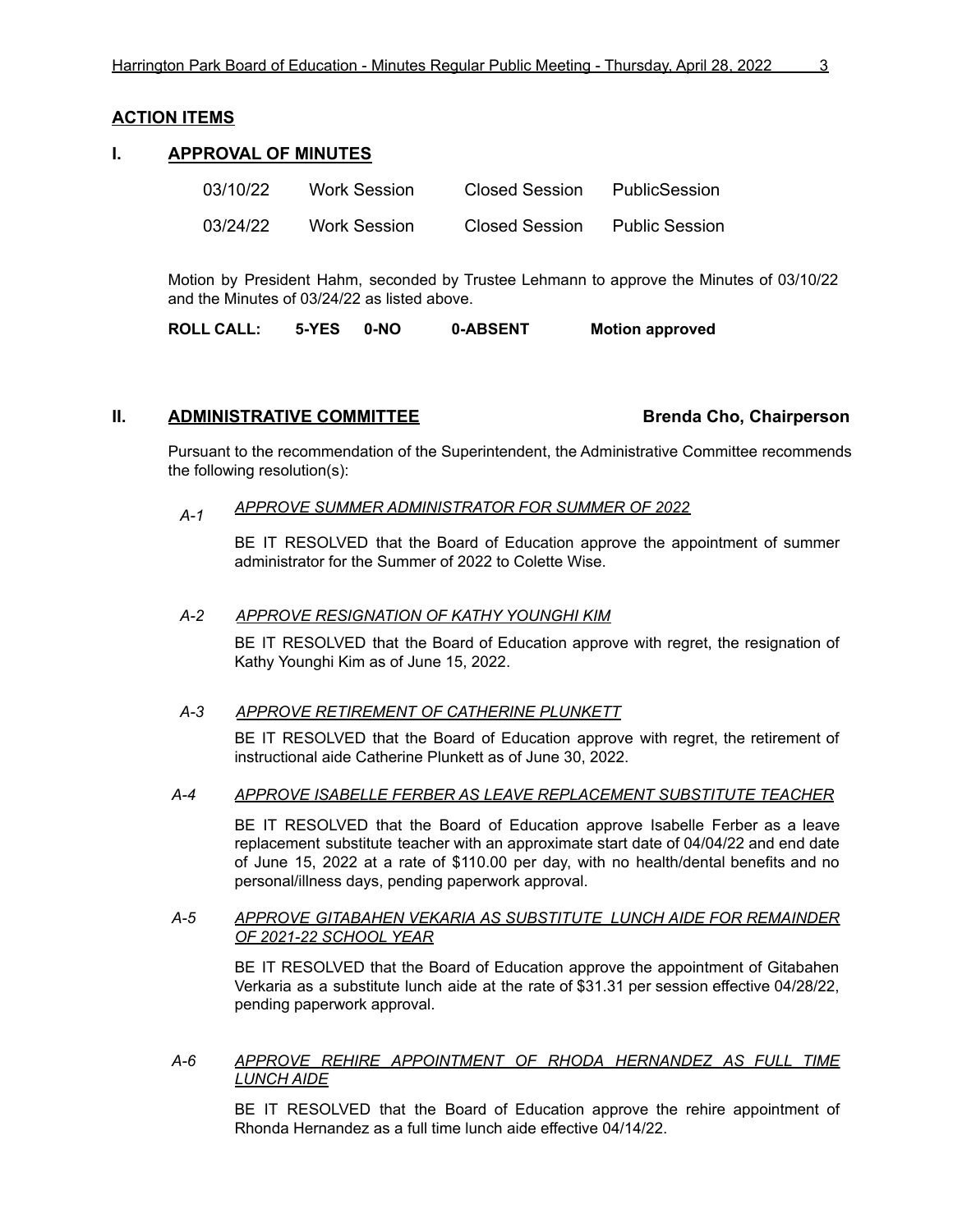#### **ACTION ITEMS**

#### **I. APPROVAL OF MINUTES**

| 03/10/22 | Work Session | Closed Session | PublicSession         |
|----------|--------------|----------------|-----------------------|
| 03/24/22 | Work Session | Closed Session | <b>Public Session</b> |

Motion by President Hahm, seconded by Trustee Lehmann to approve the Minutes of 03/10/22 and the Minutes of 03/24/22 as listed above.

**ROLL CALL: 5-YES 0-NO 0-ABSENT Motion approved**

#### **II. ADMINISTRATIVE COMMITTEE Brenda Cho, Chairperson**

Pursuant to the recommendation of the Superintendent, the Administrative Committee recommends the following resolution(s):

#### *A-1 APPROVE SUMMER ADMINISTRATOR FOR SUMMER OF 2022*

BE IT RESOLVED that the Board of Education approve the appointment of summer administrator for the Summer of 2022 to Colette Wise.

#### *A-2 APPROVE RESIGNATION OF KATHY YOUNGHI KIM*

BE IT RESOLVED that the Board of Education approve with regret, the resignation of Kathy Younghi Kim as of June 15, 2022.

#### *A-3 APPROVE RETIREMENT OF CATHERINE PLUNKETT*

BE IT RESOLVED that the Board of Education approve with regret, the retirement of instructional aide Catherine Plunkett as of June 30, 2022.

#### *A-4 APPROVE ISABELLE FERBER AS LEAVE REPLACEMENT SUBSTITUTE TEACHER*

BE IT RESOLVED that the Board of Education approve Isabelle Ferber as a leave replacement substitute teacher with an approximate start date of 04/04/22 and end date of June 15, 2022 at a rate of \$110.00 per day, with no health/dental benefits and no personal/illness days, pending paperwork approval.

#### *A-5 APPROVE GITABAHEN VEKARIA AS SUBSTITUTE LUNCH AIDE FOR REMAINDER OF 2021-22 SCHOOL YEAR*

BE IT RESOLVED that the Board of Education approve the appointment of Gitabahen Verkaria as a substitute lunch aide at the rate of \$31.31 per session effective 04/28/22, pending paperwork approval.

#### *A-6 APPROVE REHIRE APPOINTMENT OF RHODA HERNANDEZ AS FULL TIME LUNCH AIDE*

BE IT RESOLVED that the Board of Education approve the rehire appointment of Rhonda Hernandez as a full time lunch aide effective 04/14/22.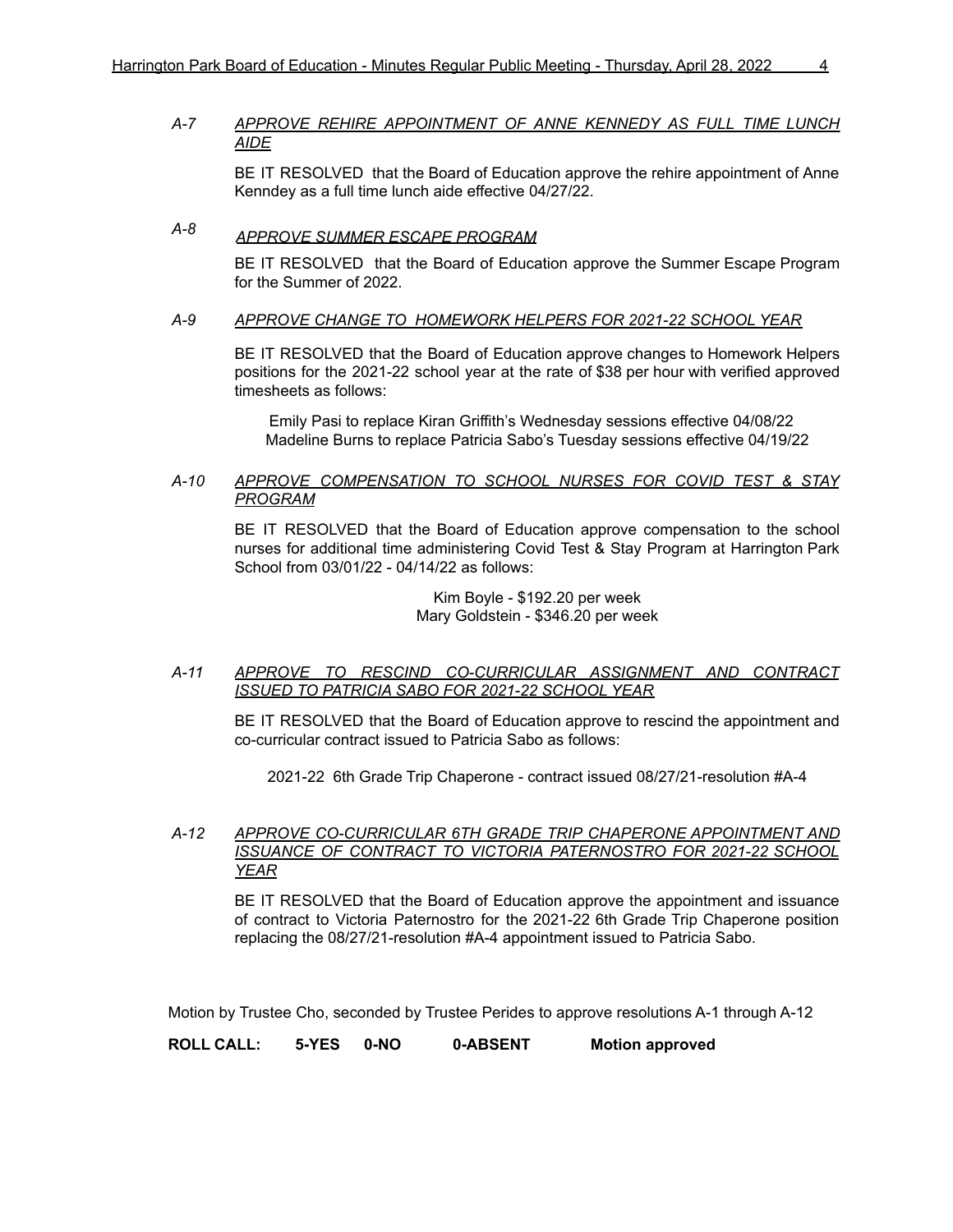#### *A-7 APPROVE REHIRE APPOINTMENT OF ANNE KENNEDY AS FULL TIME LUNCH AIDE*

BE IT RESOLVED that the Board of Education approve the rehire appointment of Anne Kenndey as a full time lunch aide effective 04/27/22.

# *A-8 APPROVE SUMMER ESCAPE PROGRAM*

BE IT RESOLVED that the Board of Education approve the Summer Escape Program for the Summer of 2022.

#### *A-9 APPROVE CHANGE TO HOMEWORK HELPERS FOR 2021-22 SCHOOL YEAR*

BE IT RESOLVED that the Board of Education approve changes to Homework Helpers positions for the 2021-22 school year at the rate of \$38 per hour with verified approved timesheets as follows:

Emily Pasi to replace Kiran Griffith's Wednesday sessions effective 04/08/22 Madeline Burns to replace Patricia Sabo's Tuesday sessions effective 04/19/22

#### *A-10 APPROVE COMPENSATION TO SCHOOL NURSES FOR COVID TEST & STAY PROGRAM*

BE IT RESOLVED that the Board of Education approve compensation to the school nurses for additional time administering Covid Test & Stay Program at Harrington Park School from 03/01/22 - 04/14/22 as follows:

> Kim Boyle - \$192.20 per week Mary Goldstein - \$346.20 per week

*A-11 APPROVE TO RESCIND CO-CURRICULAR ASSIGNMENT AND CONTRACT ISSUED TO PATRICIA SABO FOR 2021-22 SCHOOL YEAR*

BE IT RESOLVED that the Board of Education approve to rescind the appointment and co-curricular contract issued to Patricia Sabo as follows:

2021-22 6th Grade Trip Chaperone - contract issued 08/27/21-resolution #A-4

#### *A-12 APPROVE CO-CURRICULAR 6TH GRADE TRIP CHAPERONE APPOINTMENT AND ISSUANCE OF CONTRACT TO VICTORIA PATERNOSTRO FOR 2021-22 SCHOOL YEAR*

BE IT RESOLVED that the Board of Education approve the appointment and issuance of contract to Victoria Paternostro for the 2021-22 6th Grade Trip Chaperone position replacing the 08/27/21-resolution #A-4 appointment issued to Patricia Sabo.

Motion by Trustee Cho, seconded by Trustee Perides to approve resolutions A-1 through A-12

**ROLL CALL: 5-YES 0-NO 0-ABSENT Motion approved**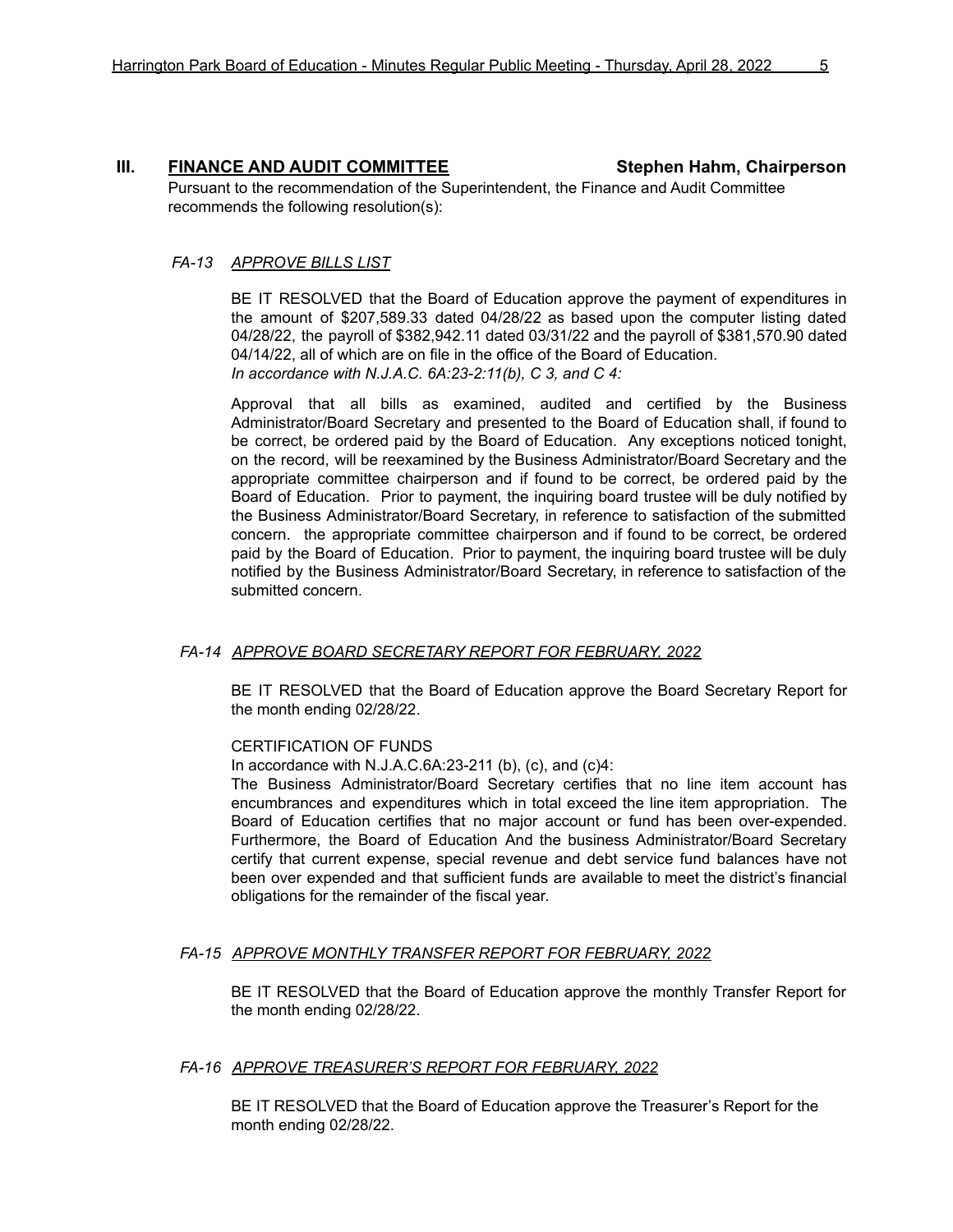#### **III. FINANCE AND AUDIT COMMITTEE Stephen Hahm, Chairperson**

Pursuant to the recommendation of the Superintendent, the Finance and Audit Committee recommends the following resolution(s):

#### *FA-13 APPROVE BILLS LIST*

BE IT RESOLVED that the Board of Education approve the payment of expenditures in the amount of \$207,589.33 dated 04/28/22 as based upon the computer listing dated 04/28/22, the payroll of \$382,942.11 dated 03/31/22 and the payroll of \$381,570.90 dated 04/14/22, all of which are on file in the office of the Board of Education. *In accordance with N.J.A.C. 6A:23-2:11(b), C 3, and C 4:*

Approval that all bills as examined, audited and certified by the Business Administrator/Board Secretary and presented to the Board of Education shall, if found to be correct, be ordered paid by the Board of Education. Any exceptions noticed tonight, on the record, will be reexamined by the Business Administrator/Board Secretary and the appropriate committee chairperson and if found to be correct, be ordered paid by the Board of Education. Prior to payment, the inquiring board trustee will be duly notified by the Business Administrator/Board Secretary, in reference to satisfaction of the submitted concern. the appropriate committee chairperson and if found to be correct, be ordered paid by the Board of Education. Prior to payment, the inquiring board trustee will be duly notified by the Business Administrator/Board Secretary, in reference to satisfaction of the submitted concern.

#### *FA-14 APPROVE BOARD SECRETARY REPORT FOR FEBRUARY, 2022*

BE IT RESOLVED that the Board of Education approve the Board Secretary Report for the month ending 02/28/22.

#### CERTIFICATION OF FUNDS

In accordance with N.J.A.C.6A:23-211 (b), (c), and (c)4:

The Business Administrator/Board Secretary certifies that no line item account has encumbrances and expenditures which in total exceed the line item appropriation. The Board of Education certifies that no major account or fund has been over-expended. Furthermore, the Board of Education And the business Administrator/Board Secretary certify that current expense, special revenue and debt service fund balances have not been over expended and that sufficient funds are available to meet the district's financial obligations for the remainder of the fiscal year.

#### *FA-15 APPROVE MONTHLY TRANSFER REPORT FOR FEBRUARY, 2022*

BE IT RESOLVED that the Board of Education approve the monthly Transfer Report for the month ending 02/28/22.

#### *FA-16 APPROVE TREASURER'S REPORT FOR FEBRUARY, 2022*

BE IT RESOLVED that the Board of Education approve the Treasurer's Report for the month ending 02/28/22.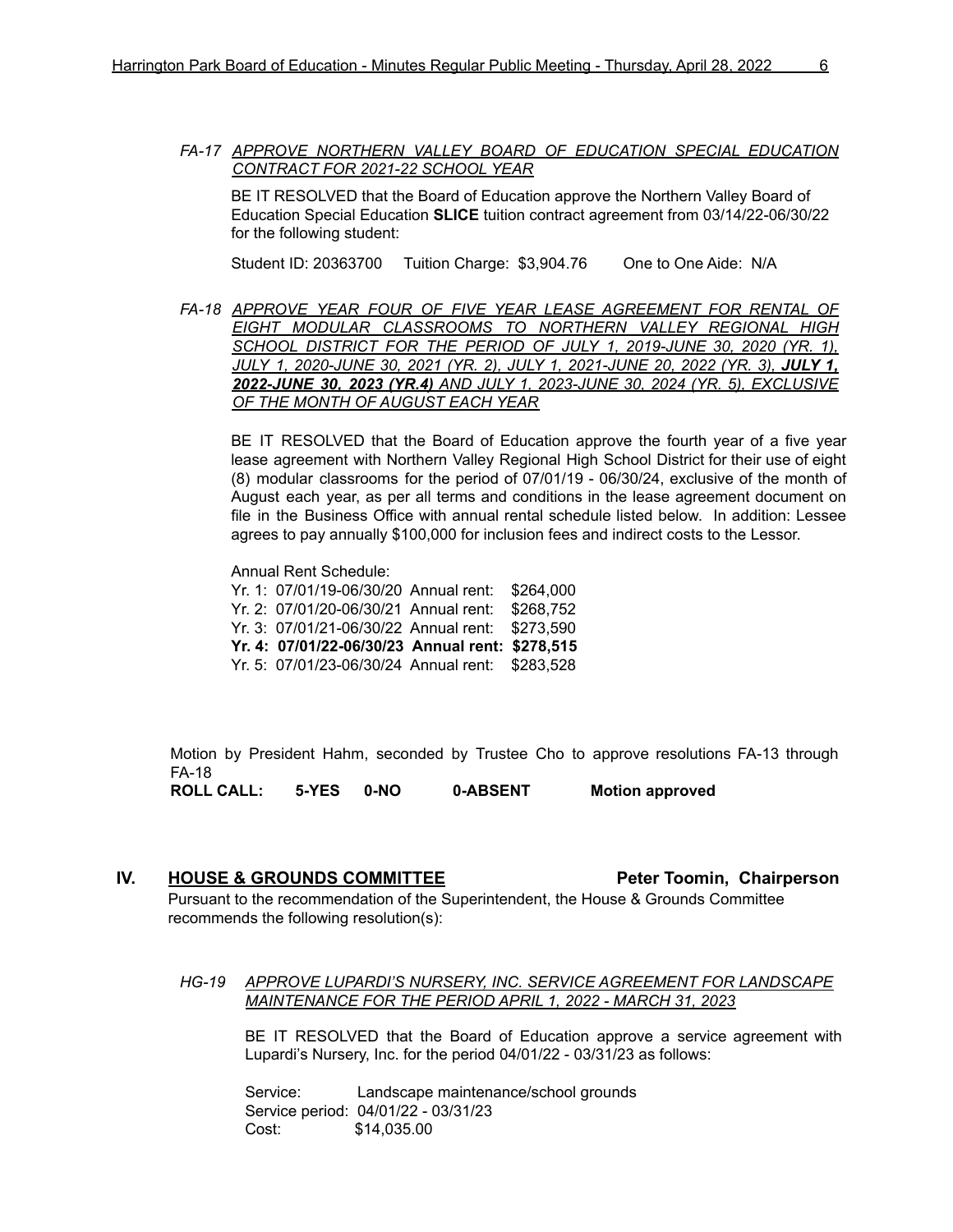*FA-17 APPROVE NORTHERN VALLEY BOARD OF EDUCATION SPECIAL EDUCATION CONTRACT FOR 2021-22 SCHOOL YEAR*

BE IT RESOLVED that the Board of Education approve the Northern Valley Board of Education Special Education **SLICE** tuition contract agreement from 03/14/22-06/30/22 for the following student:

Student ID: 20363700 Tuition Charge: \$3,904.76 One to One Aide: N/A

*FA-18 APPROVE YEAR FOUR OF FIVE YEAR LEASE AGREEMENT FOR RENTAL OF EIGHT MODULAR CLASSROOMS TO NORTHERN VALLEY REGIONAL HIGH SCHOOL DISTRICT FOR THE PERIOD OF JULY 1, 2019-JUNE 30, 2020 (YR. 1), JULY 1, 2020-JUNE 30, 2021 (YR. 2), JULY 1, 2021-JUNE 20, 2022 (YR. 3), JULY 1, 2022-JUNE 30, 2023 (YR.4) AND JULY 1, 2023-JUNE 30, 2024 (YR. 5), EXCLUSIVE OF THE MONTH OF AUGUST EACH YEAR*

BE IT RESOLVED that the Board of Education approve the fourth year of a five year lease agreement with Northern Valley Regional High School District for their use of eight (8) modular classrooms for the period of 07/01/19 - 06/30/24, exclusive of the month of August each year, as per all terms and conditions in the lease agreement document on file in the Business Office with annual rental schedule listed below. In addition: Lessee agrees to pay annually \$100,000 for inclusion fees and indirect costs to the Lessor.

Annual Rent Schedule:

- Yr. 1: 07/01/19-06/30/20 Annual rent: \$264,000
- Yr. 2: 07/01/20-06/30/21 Annual rent: \$268,752
- Yr. 3: 07/01/21-06/30/22 Annual rent: \$273,590
- **Yr. 4: 07/01/22-06/30/23 Annual rent: \$278,515**
- Yr. 5: 07/01/23-06/30/24 Annual rent: \$283,528

Motion by President Hahm, seconded by Trustee Cho to approve resolutions FA-13 through FA-18

**ROLL CALL: 5-YES 0-NO 0-ABSENT Motion approved**

#### **IV. HOUSE & GROUNDS COMMITTEE Peter Toomin, Chairperson**

Pursuant to the recommendation of the Superintendent, the House & Grounds Committee recommends the following resolution(s):

*HG-19 APPROVE LUPARDI'S NURSERY, INC. SERVICE AGREEMENT FOR LANDSCAPE MAINTENANCE FOR THE PERIOD APRIL 1, 2022 - MARCH 31, 2023*

BE IT RESOLVED that the Board of Education approve a service agreement with Lupardi's Nursery, Inc. for the period 04/01/22 - 03/31/23 as follows:

Service: Landscape maintenance/school grounds Service period: 04/01/22 - 03/31/23 Cost: \$14,035.00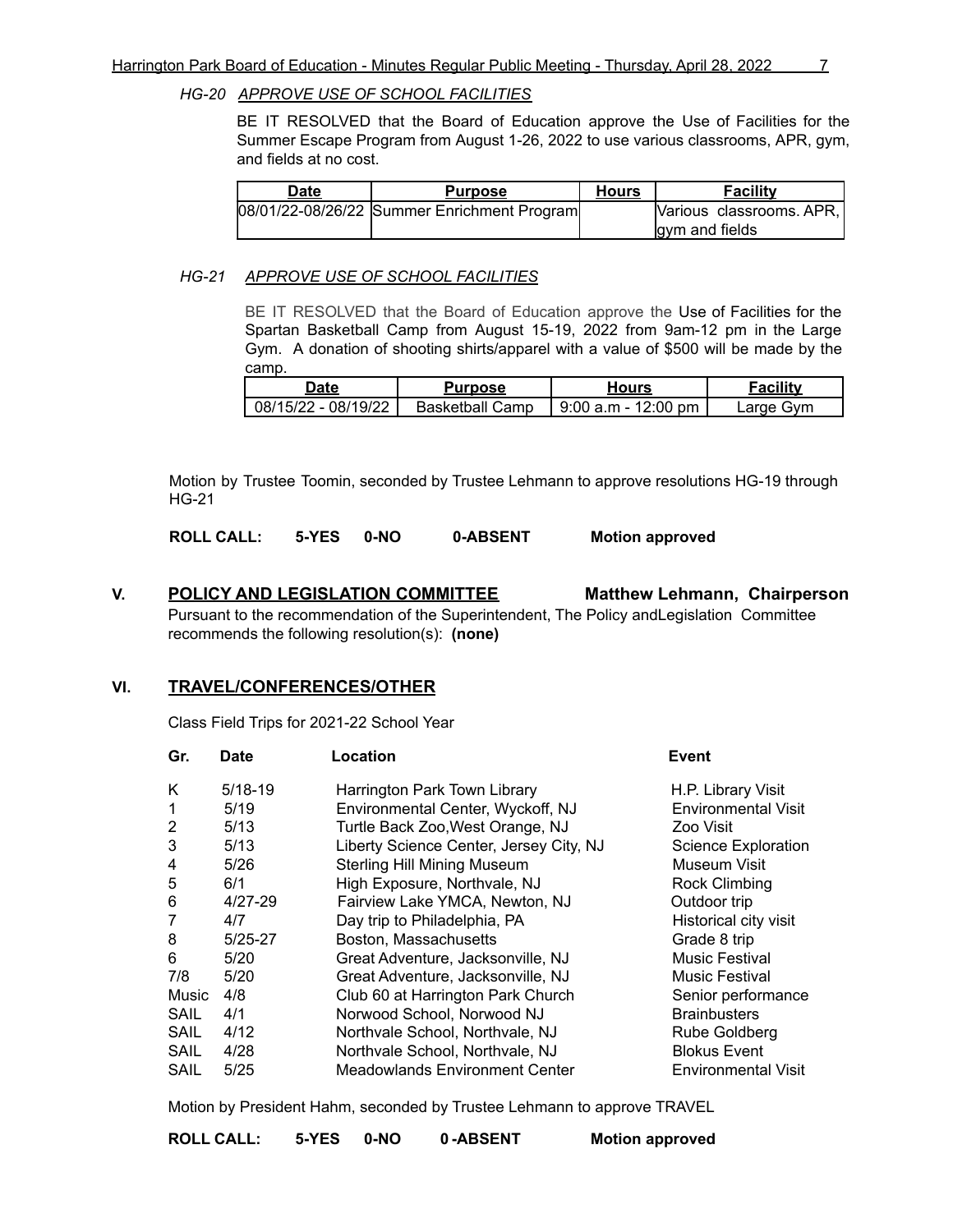#### *HG-20 APPROVE USE OF SCHOOL FACILITIES*

BE IT RESOLVED that the Board of Education approve the Use of Facilities for the Summer Escape Program from August 1-26, 2022 to use various classrooms, APR, gym, and fields at no cost.

| Date | <b>Purpose</b>                              | Hours | <b>Facility</b>             |
|------|---------------------------------------------|-------|-----------------------------|
|      | 08/01/22-08/26/22 Summer Enrichment Program |       | [Various classrooms. APR, ] |
|      |                                             |       | gym and fields              |

#### *HG-21 APPROVE USE OF SCHOOL FACILITIES*

BE IT RESOLVED that the Board of Education approve the Use of Facilities for the Spartan Basketball Camp from August 15-19, 2022 from 9am-12 pm in the Large Gym. A donation of shooting shirts/apparel with a value of \$500 will be made by the camp.

| Jate                | Purpose                |                       | $\overline{\phantom{a}}$ acility |
|---------------------|------------------------|-----------------------|----------------------------------|
| 08/15/22 - 08/19/22 | <b>Basketball Camp</b> | $9:00$ a.m - 12:00 pm | ∟arqe Gvm                        |

Motion by Trustee Toomin, seconded by Trustee Lehmann to approve resolutions HG-19 through HG-21

**ROLL CALL: 5-YES 0-NO 0-ABSENT Motion approved**

#### **V. POLICY AND LEGISLATION COMMITTEE Matthew Lehmann, Chairperson** Pursuant to the recommendation of the Superintendent, The Policy andLegislation Committee recommends the following resolution(s): **(none)**

#### **VI. TRAVEL/CONFERENCES/OTHER**

Class Field Trips for 2021-22 School Year

| Gr.            | Location<br><b>Date</b> |                                         | <b>Event</b>               |  |
|----------------|-------------------------|-----------------------------------------|----------------------------|--|
| K              | $5/18-19$               | Harrington Park Town Library            | H.P. Library Visit         |  |
| 1              | 5/19                    | Environmental Center, Wyckoff, NJ       | <b>Environmental Visit</b> |  |
| 2              | 5/13                    | Turtle Back Zoo, West Orange, NJ        | Zoo Visit                  |  |
| 3              | 5/13                    | Liberty Science Center, Jersey City, NJ | <b>Science Exploration</b> |  |
| 4              | 5/26                    | <b>Sterling Hill Mining Museum</b>      | Museum Visit               |  |
| 5              | 6/1                     | High Exposure, Northvale, NJ            | <b>Rock Climbing</b>       |  |
| 6              | $4/27-29$               | Fairview Lake YMCA, Newton, NJ          | Outdoor trip               |  |
| $\overline{7}$ | 4/7                     | Day trip to Philadelphia, PA            | Historical city visit      |  |
| 8              | $5/25-27$               | Boston, Massachusetts                   | Grade 8 trip               |  |
| 6              | 5/20                    | Great Adventure, Jacksonville, NJ       | <b>Music Festival</b>      |  |
| 7/8            | 5/20                    | Great Adventure, Jacksonville, NJ       | <b>Music Festival</b>      |  |
| Music          | 4/8                     | Club 60 at Harrington Park Church       | Senior performance         |  |
| <b>SAIL</b>    | 4/1                     | Norwood School, Norwood NJ              | <b>Brainbusters</b>        |  |
| <b>SAIL</b>    | 4/12                    | Northvale School, Northvale, NJ         | Rube Goldberg              |  |
| SAIL           | 4/28                    | Northvale School, Northvale, NJ         | <b>Blokus Event</b>        |  |
| SAIL           | 5/25                    | <b>Meadowlands Environment Center</b>   | <b>Environmental Visit</b> |  |

Motion by President Hahm, seconded by Trustee Lehmann to approve TRAVEL

| <b>ROLL CALL:</b> | 5-YES 0-NO |  | 0-ABSENT | <b>Motion approved</b> |
|-------------------|------------|--|----------|------------------------|
|-------------------|------------|--|----------|------------------------|